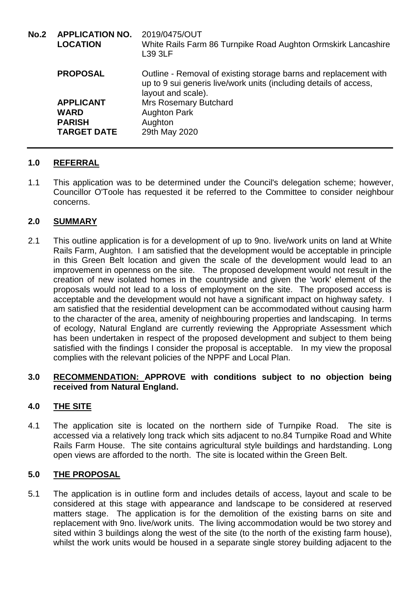| <b>No.2</b> | <b>APPLICATION NO.</b><br><b>LOCATION</b> | 2019/0475/OUT<br>White Rails Farm 86 Turnpike Road Aughton Ormskirk Lancashire<br>L39 3LF                                                                   |
|-------------|-------------------------------------------|-------------------------------------------------------------------------------------------------------------------------------------------------------------|
|             | <b>PROPOSAL</b>                           | Outline - Removal of existing storage barns and replacement with<br>up to 9 sui generis live/work units (including details of access,<br>layout and scale). |
|             | <b>APPLICANT</b>                          | <b>Mrs Rosemary Butchard</b>                                                                                                                                |
|             | <b>WARD</b><br><b>PARISH</b>              | <b>Aughton Park</b><br>Aughton                                                                                                                              |
|             | <b>TARGET DATE</b>                        | 29th May 2020                                                                                                                                               |
|             |                                           |                                                                                                                                                             |

# **1.0 REFERRAL**

1.1 This application was to be determined under the Council's delegation scheme; however, Councillor O'Toole has requested it be referred to the Committee to consider neighbour concerns.

## **2.0 SUMMARY**

2.1 This outline application is for a development of up to 9no. live/work units on land at White Rails Farm, Aughton. I am satisfied that the development would be acceptable in principle in this Green Belt location and given the scale of the development would lead to an improvement in openness on the site. The proposed development would not result in the creation of new isolated homes in the countryside and given the 'work' element of the proposals would not lead to a loss of employment on the site. The proposed access is acceptable and the development would not have a significant impact on highway safety. I am satisfied that the residential development can be accommodated without causing harm to the character of the area, amenity of neighbouring properties and landscaping. In terms of ecology, Natural England are currently reviewing the Appropriate Assessment which has been undertaken in respect of the proposed development and subject to them being satisfied with the findings I consider the proposal is acceptable. In my view the proposal complies with the relevant policies of the NPPF and Local Plan.

### **3.0 RECOMMENDATION: APPROVE with conditions subject to no objection being received from Natural England.**

## **4.0 THE SITE**

4.1 The application site is located on the northern side of Turnpike Road. The site is accessed via a relatively long track which sits adjacent to no.84 Turnpike Road and White Rails Farm House. The site contains agricultural style buildings and hardstanding. Long open views are afforded to the north. The site is located within the Green Belt.

## **5.0 THE PROPOSAL**

5.1 The application is in outline form and includes details of access, layout and scale to be considered at this stage with appearance and landscape to be considered at reserved matters stage. The application is for the demolition of the existing barns on site and replacement with 9no. live/work units. The living accommodation would be two storey and sited within 3 buildings along the west of the site (to the north of the existing farm house), whilst the work units would be housed in a separate single storey building adjacent to the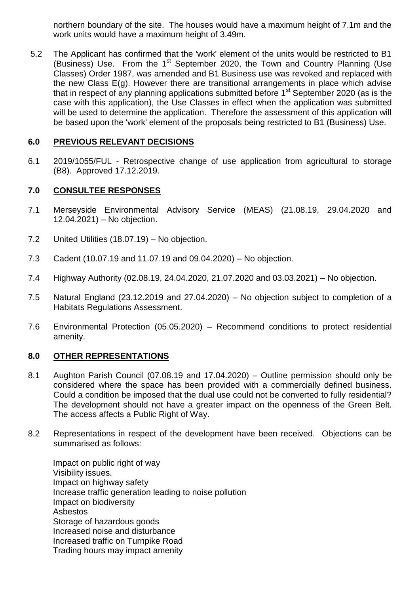northern boundary of the site. The houses would have a maximum height of 7.1m and the work units would have a maximum height of 3.49m.

5.2 The Applicant has confirmed that the 'work' element of the units would be restricted to B1 (Business) Use. From the  $1<sup>st</sup>$  September 2020, the Town and Country Planning (Use Classes) Order 1987, was amended and B1 Business use was revoked and replaced with the new Class E(g). However there are transitional arrangements in place which advise that in respect of any planning applications submitted before  $1<sup>st</sup>$  September 2020 (as is the case with this application), the Use Classes in effect when the application was submitted will be used to determine the application. Therefore the assessment of this application will be based upon the 'work' element of the proposals being restricted to B1 (Business) Use.

### **6.0 PREVIOUS RELEVANT DECISIONS**

6.1 2019/1055/FUL - Retrospective change of use application from agricultural to storage (B8). Approved 17.12.2019.

### **7.0 CONSULTEE RESPONSES**

- 7.1 Merseyside Environmental Advisory Service (MEAS) (21.08.19, 29.04.2020 and 12.04.2021) – No objection.
- 7.2 United Utilities (18.07.19) No objection.
- 7.3 Cadent (10.07.19 and 11.07.19 and 09.04.2020) No objection.
- 7.4 Highway Authority (02.08.19, 24.04.2020, 21.07.2020 and 03.03.2021) No objection.
- 7.5 Natural England (23.12.2019 and 27.04.2020) No objection subject to completion of a Habitats Regulations Assessment.
- 7.6 Environmental Protection (05.05.2020) Recommend conditions to protect residential amenity.

### **8.0 OTHER REPRESENTATIONS**

- 8.1 Aughton Parish Council (07.08.19 and 17.04.2020) Outline permission should only be considered where the space has been provided with a commercially defined business. Could a condition be imposed that the dual use could not be converted to fully residential? The development should not have a greater impact on the openness of the Green Belt. The access affects a Public Right of Way.
- 8.2 Representations in respect of the development have been received. Objections can be summarised as follows:

Impact on public right of way Visibility issues. Impact on highway safety Increase traffic generation leading to noise pollution Impact on biodiversity Asbestos Storage of hazardous goods Increased noise and disturbance Increased traffic on Turnpike Road Trading hours may impact amenity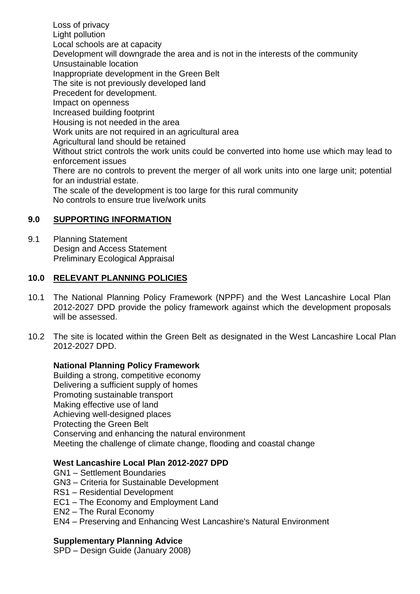Loss of privacy Light pollution Local schools are at capacity Development will downgrade the area and is not in the interests of the community Unsustainable location Inappropriate development in the Green Belt The site is not previously developed land Precedent for development. Impact on openness Increased building footprint Housing is not needed in the area Work units are not required in an agricultural area Agricultural land should be retained Without strict controls the work units could be converted into home use which may lead to enforcement issues There are no controls to prevent the merger of all work units into one large unit; potential for an industrial estate. The scale of the development is too large for this rural community No controls to ensure true live/work units

# **9.0 SUPPORTING INFORMATION**

9.1 Planning Statement Design and Access Statement Preliminary Ecological Appraisal

## **10.0 RELEVANT PLANNING POLICIES**

- 10.1 The National Planning Policy Framework (NPPF) and the West Lancashire Local Plan 2012-2027 DPD provide the policy framework against which the development proposals will be assessed.
- 10.2 The site is located within the Green Belt as designated in the West Lancashire Local Plan 2012-2027 DPD.

### **National Planning Policy Framework**

Building a strong, competitive economy Delivering a sufficient supply of homes Promoting sustainable transport Making effective use of land Achieving well-designed places Protecting the Green Belt Conserving and enhancing the natural environment Meeting the challenge of climate change, flooding and coastal change

### **West Lancashire Local Plan 2012-2027 DPD**

- GN1 Settlement Boundaries
- GN3 Criteria for Sustainable Development
- RS1 Residential Development
- EC1 The Economy and Employment Land
- EN2 The Rural Economy
- EN4 Preserving and Enhancing West Lancashire's Natural Environment

### **Supplementary Planning Advice**

SPD – Design Guide (January 2008)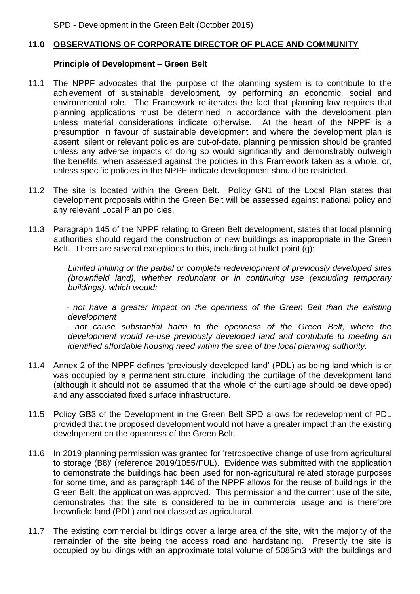### **11.0 OBSERVATIONS OF CORPORATE DIRECTOR OF PLACE AND COMMUNITY**

#### **Principle of Development – Green Belt**

- 11.1 The NPPF advocates that the purpose of the planning system is to contribute to the achievement of sustainable development, by performing an economic, social and environmental role. The Framework re-iterates the fact that planning law requires that planning applications must be determined in accordance with the development plan unless material considerations indicate otherwise. At the heart of the NPPF is a presumption in favour of sustainable development and where the development plan is absent, silent or relevant policies are out-of-date, planning permission should be granted unless any adverse impacts of doing so would significantly and demonstrably outweigh the benefits, when assessed against the policies in this Framework taken as a whole, or, unless specific policies in the NPPF indicate development should be restricted.
- 11.2 The site is located within the Green Belt. Policy GN1 of the Local Plan states that development proposals within the Green Belt will be assessed against national policy and any relevant Local Plan policies.
- 11.3 Paragraph 145 of the NPPF relating to Green Belt development, states that local planning authorities should regard the construction of new buildings as inappropriate in the Green Belt. There are several exceptions to this, including at bullet point (g):

*Limited infilling or the partial or complete redevelopment of previously developed sites (brownfield land), whether redundant or in continuing use (excluding temporary buildings), which would:*

*- not have a greater impact on the openness of the Green Belt than the existing development* 

*- not cause substantial harm to the openness of the Green Belt, where the development would re-use previously developed land and contribute to meeting an identified affordable housing need within the area of the local planning authority.*

- 11.4 Annex 2 of the NPPF defines 'previously developed land' (PDL) as being land which is or was occupied by a permanent structure, including the curtilage of the development land (although it should not be assumed that the whole of the curtilage should be developed) and any associated fixed surface infrastructure.
- 11.5 Policy GB3 of the Development in the Green Belt SPD allows for redevelopment of PDL provided that the proposed development would not have a greater impact than the existing development on the openness of the Green Belt.
- 11.6 In 2019 planning permission was granted for 'retrospective change of use from agricultural to storage (B8)' (reference 2019/1055/FUL). Evidence was submitted with the application to demonstrate the buildings had been used for non-agricultural related storage purposes for some time, and as paragraph 146 of the NPPF allows for the reuse of buildings in the Green Belt, the application was approved. This permission and the current use of the site, demonstrates that the site is considered to be in commercial usage and is therefore brownfield land (PDL) and not classed as agricultural.
- 11.7 The existing commercial buildings cover a large area of the site, with the majority of the remainder of the site being the access road and hardstanding. Presently the site is occupied by buildings with an approximate total volume of 5085m3 with the buildings and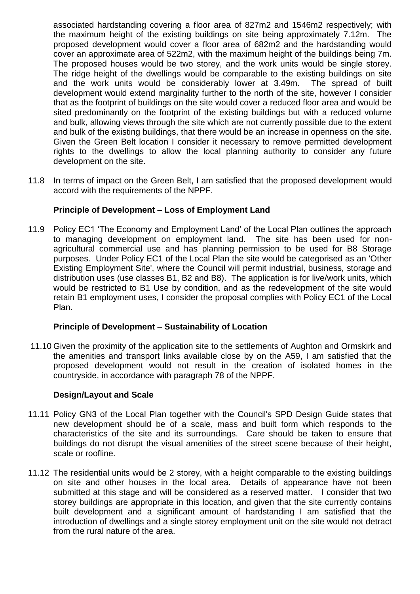associated hardstanding covering a floor area of 827m2 and 1546m2 respectively; with the maximum height of the existing buildings on site being approximately 7.12m. The proposed development would cover a floor area of 682m2 and the hardstanding would cover an approximate area of 522m2, with the maximum height of the buildings being 7m. The proposed houses would be two storey, and the work units would be single storey. The ridge height of the dwellings would be comparable to the existing buildings on site and the work units would be considerably lower at 3.49m. The spread of built development would extend marginality further to the north of the site, however I consider that as the footprint of buildings on the site would cover a reduced floor area and would be sited predominantly on the footprint of the existing buildings but with a reduced volume and bulk, allowing views through the site which are not currently possible due to the extent and bulk of the existing buildings, that there would be an increase in openness on the site. Given the Green Belt location I consider it necessary to remove permitted development rights to the dwellings to allow the local planning authority to consider any future development on the site.

11.8 In terms of impact on the Green Belt, I am satisfied that the proposed development would accord with the requirements of the NPPF.

### **Principle of Development – Loss of Employment Land**

11.9 Policy EC1 'The Economy and Employment Land' of the Local Plan outlines the approach to managing development on employment land. The site has been used for nonagricultural commercial use and has planning permission to be used for B8 Storage purposes. Under Policy EC1 of the Local Plan the site would be categorised as an 'Other Existing Employment Site', where the Council will permit industrial, business, storage and distribution uses (use classes B1, B2 and B8). The application is for live/work units, which would be restricted to B1 Use by condition, and as the redevelopment of the site would retain B1 employment uses, I consider the proposal complies with Policy EC1 of the Local Plan.

### **Principle of Development – Sustainability of Location**

11.10 Given the proximity of the application site to the settlements of Aughton and Ormskirk and the amenities and transport links available close by on the A59, I am satisfied that the proposed development would not result in the creation of isolated homes in the countryside, in accordance with paragraph 78 of the NPPF.

### **Design/Layout and Scale**

- 11.11 Policy GN3 of the Local Plan together with the Council's SPD Design Guide states that new development should be of a scale, mass and built form which responds to the characteristics of the site and its surroundings. Care should be taken to ensure that buildings do not disrupt the visual amenities of the street scene because of their height, scale or roofline.
- 11.12 The residential units would be 2 storey, with a height comparable to the existing buildings on site and other houses in the local area. Details of appearance have not been submitted at this stage and will be considered as a reserved matter. I consider that two storey buildings are appropriate in this location, and given that the site currently contains built development and a significant amount of hardstanding I am satisfied that the introduction of dwellings and a single storey employment unit on the site would not detract from the rural nature of the area.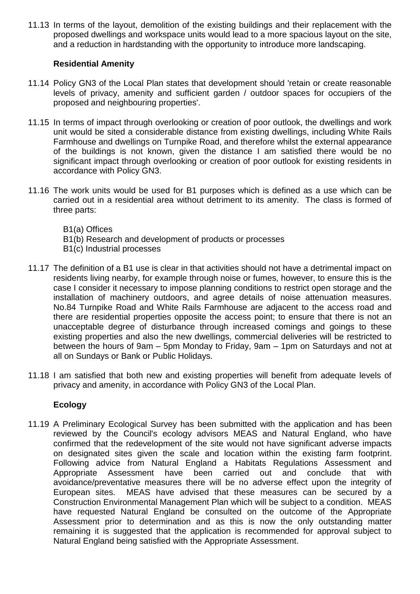11.13 In terms of the layout, demolition of the existing buildings and their replacement with the proposed dwellings and workspace units would lead to a more spacious layout on the site, and a reduction in hardstanding with the opportunity to introduce more landscaping.

### **Residential Amenity**

- 11.14 Policy GN3 of the Local Plan states that development should 'retain or create reasonable levels of privacy, amenity and sufficient garden / outdoor spaces for occupiers of the proposed and neighbouring properties'.
- 11.15 In terms of impact through overlooking or creation of poor outlook, the dwellings and work unit would be sited a considerable distance from existing dwellings, including White Rails Farmhouse and dwellings on Turnpike Road, and therefore whilst the external appearance of the buildings is not known, given the distance I am satisfied there would be no significant impact through overlooking or creation of poor outlook for existing residents in accordance with Policy GN3.
- 11.16 The work units would be used for B1 purposes which is defined as a use which can be carried out in a residential area without detriment to its amenity. The class is formed of three parts:
	- B1(a) Offices
	- B1(b) Research and development of products or processes
	- B1(c) Industrial processes
- 11.17 The definition of a B1 use is clear in that activities should not have a detrimental impact on residents living nearby, for example through noise or fumes, however, to ensure this is the case I consider it necessary to impose planning conditions to restrict open storage and the installation of machinery outdoors, and agree details of noise attenuation measures. No.84 Turnpike Road and White Rails Farmhouse are adjacent to the access road and there are residential properties opposite the access point; to ensure that there is not an unacceptable degree of disturbance through increased comings and goings to these existing properties and also the new dwellings, commercial deliveries will be restricted to between the hours of 9am – 5pm Monday to Friday, 9am – 1pm on Saturdays and not at all on Sundays or Bank or Public Holidays.
- 11.18 I am satisfied that both new and existing properties will benefit from adequate levels of privacy and amenity, in accordance with Policy GN3 of the Local Plan.

## **Ecology**

11.19 A Preliminary Ecological Survey has been submitted with the application and has been reviewed by the Council's ecology advisors MEAS and Natural England, who have confirmed that the redevelopment of the site would not have significant adverse impacts on designated sites given the scale and location within the existing farm footprint. Following advice from Natural England a Habitats Regulations Assessment and Appropriate Assessment have been carried out and conclude that with avoidance/preventative measures there will be no adverse effect upon the integrity of European sites. MEAS have advised that these measures can be secured by a Construction Environmental Management Plan which will be subject to a condition. MEAS have requested Natural England be consulted on the outcome of the Appropriate Assessment prior to determination and as this is now the only outstanding matter remaining it is suggested that the application is recommended for approval subject to Natural England being satisfied with the Appropriate Assessment.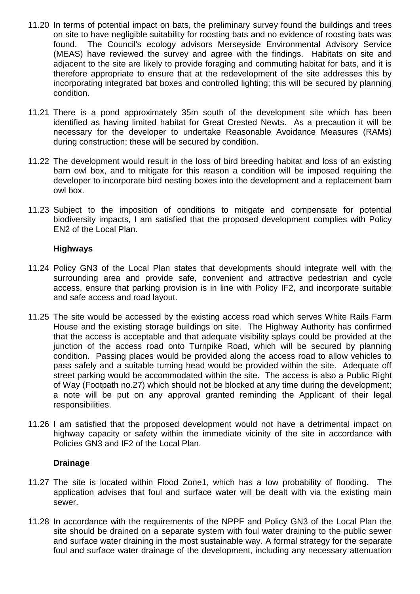- 11.20 In terms of potential impact on bats, the preliminary survey found the buildings and trees on site to have negligible suitability for roosting bats and no evidence of roosting bats was found. The Council's ecology advisors Merseyside Environmental Advisory Service (MEAS) have reviewed the survey and agree with the findings. Habitats on site and adjacent to the site are likely to provide foraging and commuting habitat for bats, and it is therefore appropriate to ensure that at the redevelopment of the site addresses this by incorporating integrated bat boxes and controlled lighting; this will be secured by planning condition.
- 11.21 There is a pond approximately 35m south of the development site which has been identified as having limited habitat for Great Crested Newts. As a precaution it will be necessary for the developer to undertake Reasonable Avoidance Measures (RAMs) during construction; these will be secured by condition.
- 11.22 The development would result in the loss of bird breeding habitat and loss of an existing barn owl box, and to mitigate for this reason a condition will be imposed requiring the developer to incorporate bird nesting boxes into the development and a replacement barn owl box.
- 11.23 Subject to the imposition of conditions to mitigate and compensate for potential biodiversity impacts, I am satisfied that the proposed development complies with Policy EN2 of the Local Plan.

### **Highways**

- 11.24 Policy GN3 of the Local Plan states that developments should integrate well with the surrounding area and provide safe, convenient and attractive pedestrian and cycle access, ensure that parking provision is in line with Policy IF2, and incorporate suitable and safe access and road layout.
- 11.25 The site would be accessed by the existing access road which serves White Rails Farm House and the existing storage buildings on site. The Highway Authority has confirmed that the access is acceptable and that adequate visibility splays could be provided at the junction of the access road onto Turnpike Road, which will be secured by planning condition. Passing places would be provided along the access road to allow vehicles to pass safely and a suitable turning head would be provided within the site. Adequate off street parking would be accommodated within the site. The access is also a Public Right of Way (Footpath no.27) which should not be blocked at any time during the development; a note will be put on any approval granted reminding the Applicant of their legal responsibilities.
- 11.26 I am satisfied that the proposed development would not have a detrimental impact on highway capacity or safety within the immediate vicinity of the site in accordance with Policies GN3 and IF2 of the Local Plan.

### **Drainage**

- 11.27 The site is located within Flood Zone1, which has a low probability of flooding. The application advises that foul and surface water will be dealt with via the existing main sewer.
- 11.28 In accordance with the requirements of the NPPF and Policy GN3 of the Local Plan the site should be drained on a separate system with foul water draining to the public sewer and surface water draining in the most sustainable way. A formal strategy for the separate foul and surface water drainage of the development, including any necessary attenuation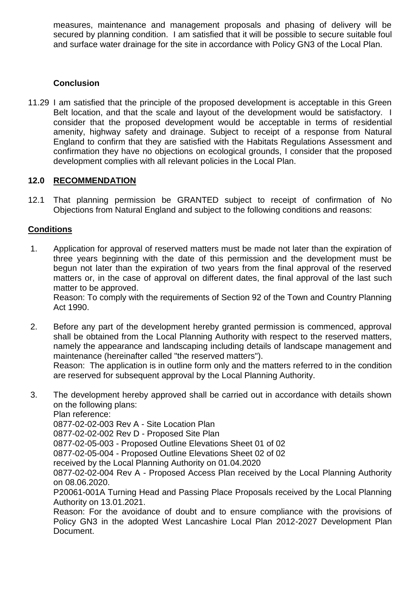measures, maintenance and management proposals and phasing of delivery will be secured by planning condition. I am satisfied that it will be possible to secure suitable foul and surface water drainage for the site in accordance with Policy GN3 of the Local Plan.

## **Conclusion**

11.29 I am satisfied that the principle of the proposed development is acceptable in this Green Belt location, and that the scale and layout of the development would be satisfactory. I consider that the proposed development would be acceptable in terms of residential amenity, highway safety and drainage. Subject to receipt of a response from Natural England to confirm that they are satisfied with the Habitats Regulations Assessment and confirmation they have no objections on ecological grounds, I consider that the proposed development complies with all relevant policies in the Local Plan.

# **12.0 RECOMMENDATION**

12.1 That planning permission be GRANTED subject to receipt of confirmation of No Objections from Natural England and subject to the following conditions and reasons:

# **Conditions**

1. Application for approval of reserved matters must be made not later than the expiration of three years beginning with the date of this permission and the development must be begun not later than the expiration of two years from the final approval of the reserved matters or, in the case of approval on different dates, the final approval of the last such matter to be approved.

Reason: To comply with the requirements of Section 92 of the Town and Country Planning Act 1990.

2. Before any part of the development hereby granted permission is commenced, approval shall be obtained from the Local Planning Authority with respect to the reserved matters, namely the appearance and landscaping including details of landscape management and maintenance (hereinafter called "the reserved matters").

Reason: The application is in outline form only and the matters referred to in the condition are reserved for subsequent approval by the Local Planning Authority.

3. The development hereby approved shall be carried out in accordance with details shown on the following plans:

Plan reference:

0877-02-02-003 Rev A - Site Location Plan

0877-02-02-002 Rev D - Proposed Site Plan

0877-02-05-003 - Proposed Outline Elevations Sheet 01 of 02

0877-02-05-004 - Proposed Outline Elevations Sheet 02 of 02

received by the Local Planning Authority on 01.04.2020

0877-02-02-004 Rev A - Proposed Access Plan received by the Local Planning Authority on 08.06.2020.

P20061-001A Turning Head and Passing Place Proposals received by the Local Planning Authority on 13.01.2021.

Reason: For the avoidance of doubt and to ensure compliance with the provisions of Policy GN3 in the adopted West Lancashire Local Plan 2012-2027 Development Plan Document.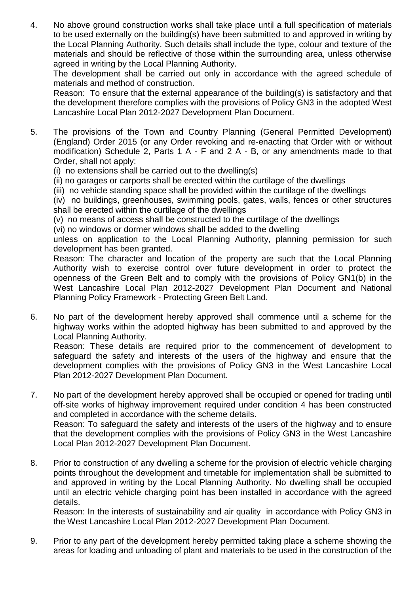4. No above ground construction works shall take place until a full specification of materials to be used externally on the building(s) have been submitted to and approved in writing by the Local Planning Authority. Such details shall include the type, colour and texture of the materials and should be reflective of those within the surrounding area, unless otherwise agreed in writing by the Local Planning Authority.

The development shall be carried out only in accordance with the agreed schedule of materials and method of construction.

Reason: To ensure that the external appearance of the building(s) is satisfactory and that the development therefore complies with the provisions of Policy GN3 in the adopted West Lancashire Local Plan 2012-2027 Development Plan Document.

- 5. The provisions of the Town and Country Planning (General Permitted Development) (England) Order 2015 (or any Order revoking and re-enacting that Order with or without modification) Schedule 2, Parts 1 A - F and 2 A - B, or any amendments made to that Order, shall not apply:
	- (i) no extensions shall be carried out to the dwelling(s)
	- (ii) no garages or carports shall be erected within the curtilage of the dwellings
	- (iii) no vehicle standing space shall be provided within the curtilage of the dwellings

(iv) no buildings, greenhouses, swimming pools, gates, walls, fences or other structures shall be erected within the curtilage of the dwellings

(v) no means of access shall be constructed to the curtilage of the dwellings

(vi) no windows or dormer windows shall be added to the dwelling

unless on application to the Local Planning Authority, planning permission for such development has been granted.

Reason: The character and location of the property are such that the Local Planning Authority wish to exercise control over future development in order to protect the openness of the Green Belt and to comply with the provisions of Policy GN1(b) in the West Lancashire Local Plan 2012-2027 Development Plan Document and National Planning Policy Framework - Protecting Green Belt Land.

6. No part of the development hereby approved shall commence until a scheme for the highway works within the adopted highway has been submitted to and approved by the Local Planning Authority.

Reason: These details are required prior to the commencement of development to safeguard the safety and interests of the users of the highway and ensure that the development complies with the provisions of Policy GN3 in the West Lancashire Local Plan 2012-2027 Development Plan Document.

- 7. No part of the development hereby approved shall be occupied or opened for trading until off-site works of highway improvement required under condition 4 has been constructed and completed in accordance with the scheme details. Reason: To safeguard the safety and interests of the users of the highway and to ensure that the development complies with the provisions of Policy GN3 in the West Lancashire Local Plan 2012-2027 Development Plan Document.
- 8. Prior to construction of any dwelling a scheme for the provision of electric vehicle charging points throughout the development and timetable for implementation shall be submitted to and approved in writing by the Local Planning Authority. No dwelling shall be occupied until an electric vehicle charging point has been installed in accordance with the agreed details.

Reason: In the interests of sustainability and air quality in accordance with Policy GN3 in the West Lancashire Local Plan 2012-2027 Development Plan Document.

9. Prior to any part of the development hereby permitted taking place a scheme showing the areas for loading and unloading of plant and materials to be used in the construction of the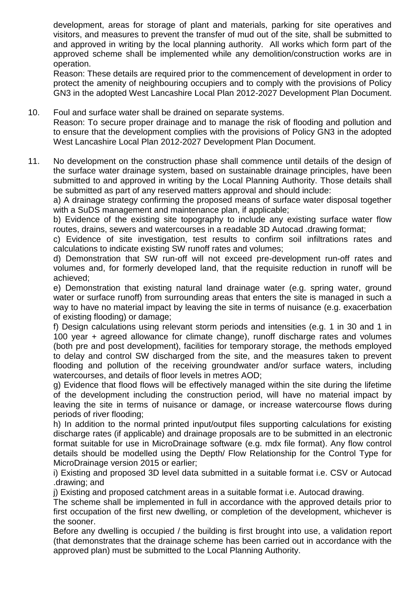development, areas for storage of plant and materials, parking for site operatives and visitors, and measures to prevent the transfer of mud out of the site, shall be submitted to and approved in writing by the local planning authority. All works which form part of the approved scheme shall be implemented while any demolition/construction works are in operation.

Reason: These details are required prior to the commencement of development in order to protect the amenity of neighbouring occupiers and to comply with the provisions of Policy GN3 in the adopted West Lancashire Local Plan 2012-2027 Development Plan Document.

#### 10. Foul and surface water shall be drained on separate systems.

Reason: To secure proper drainage and to manage the risk of flooding and pollution and to ensure that the development complies with the provisions of Policy GN3 in the adopted West Lancashire Local Plan 2012-2027 Development Plan Document.

11. No development on the construction phase shall commence until details of the design of the surface water drainage system, based on sustainable drainage principles, have been submitted to and approved in writing by the Local Planning Authority. Those details shall be submitted as part of any reserved matters approval and should include:

a) A drainage strategy confirming the proposed means of surface water disposal together with a SuDS management and maintenance plan, if applicable;

b) Evidence of the existing site topography to include any existing surface water flow routes, drains, sewers and watercourses in a readable 3D Autocad .drawing format;

c) Evidence of site investigation, test results to confirm soil infiltrations rates and calculations to indicate existing SW runoff rates and volumes;

d) Demonstration that SW run-off will not exceed pre-development run-off rates and volumes and, for formerly developed land, that the requisite reduction in runoff will be achieved;

e) Demonstration that existing natural land drainage water (e.g. spring water, ground water or surface runoff) from surrounding areas that enters the site is managed in such a way to have no material impact by leaving the site in terms of nuisance (e.g. exacerbation of existing flooding) or damage;

f) Design calculations using relevant storm periods and intensities (e.g. 1 in 30 and 1 in 100 year + agreed allowance for climate change), runoff discharge rates and volumes (both pre and post development), facilities for temporary storage, the methods employed to delay and control SW discharged from the site, and the measures taken to prevent flooding and pollution of the receiving groundwater and/or surface waters, including watercourses, and details of floor levels in metres AOD;

g) Evidence that flood flows will be effectively managed within the site during the lifetime of the development including the construction period, will have no material impact by leaving the site in terms of nuisance or damage, or increase watercourse flows during periods of river flooding;

h) In addition to the normal printed input/output files supporting calculations for existing discharge rates (if applicable) and drainage proposals are to be submitted in an electronic format suitable for use in MicroDrainage software (e.g. mdx file format). Any flow control details should be modelled using the Depth/ Flow Relationship for the Control Type for MicroDrainage version 2015 or earlier;

i) Existing and proposed 3D level data submitted in a suitable format i.e. CSV or Autocad .drawing; and

j) Existing and proposed catchment areas in a suitable format i.e. Autocad drawing.

The scheme shall be implemented in full in accordance with the approved details prior to first occupation of the first new dwelling, or completion of the development, whichever is the sooner.

Before any dwelling is occupied / the building is first brought into use, a validation report (that demonstrates that the drainage scheme has been carried out in accordance with the approved plan) must be submitted to the Local Planning Authority.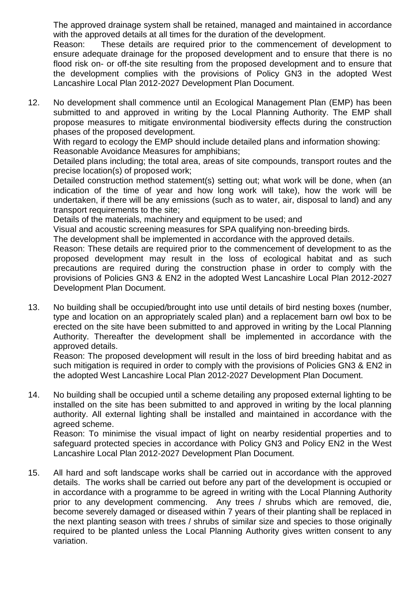The approved drainage system shall be retained, managed and maintained in accordance with the approved details at all times for the duration of the development.

Reason: These details are required prior to the commencement of development to ensure adequate drainage for the proposed development and to ensure that there is no flood risk on- or off-the site resulting from the proposed development and to ensure that the development complies with the provisions of Policy GN3 in the adopted West Lancashire Local Plan 2012-2027 Development Plan Document.

12. No development shall commence until an Ecological Management Plan (EMP) has been submitted to and approved in writing by the Local Planning Authority. The EMP shall propose measures to mitigate environmental biodiversity effects during the construction phases of the proposed development.

With regard to ecology the EMP should include detailed plans and information showing: Reasonable Avoidance Measures for amphibians;

Detailed plans including; the total area, areas of site compounds, transport routes and the precise location(s) of proposed work;

Detailed construction method statement(s) setting out; what work will be done, when (an indication of the time of year and how long work will take), how the work will be undertaken, if there will be any emissions (such as to water, air, disposal to land) and any transport requirements to the site;

Details of the materials, machinery and equipment to be used; and

Visual and acoustic screening measures for SPA qualifying non-breeding birds.

The development shall be implemented in accordance with the approved details.

Reason: These details are required prior to the commencement of development to as the proposed development may result in the loss of ecological habitat and as such precautions are required during the construction phase in order to comply with the provisions of Policies GN3 & EN2 in the adopted West Lancashire Local Plan 2012-2027 Development Plan Document.

13. No building shall be occupied/brought into use until details of bird nesting boxes (number, type and location on an appropriately scaled plan) and a replacement barn owl box to be erected on the site have been submitted to and approved in writing by the Local Planning Authority. Thereafter the development shall be implemented in accordance with the approved details.

Reason: The proposed development will result in the loss of bird breeding habitat and as such mitigation is required in order to comply with the provisions of Policies GN3 & EN2 in the adopted West Lancashire Local Plan 2012-2027 Development Plan Document.

14. No building shall be occupied until a scheme detailing any proposed external lighting to be installed on the site has been submitted to and approved in writing by the local planning authority. All external lighting shall be installed and maintained in accordance with the agreed scheme.

Reason: To minimise the visual impact of light on nearby residential properties and to safeguard protected species in accordance with Policy GN3 and Policy EN2 in the West Lancashire Local Plan 2012-2027 Development Plan Document.

15. All hard and soft landscape works shall be carried out in accordance with the approved details. The works shall be carried out before any part of the development is occupied or in accordance with a programme to be agreed in writing with the Local Planning Authority prior to any development commencing. Any trees / shrubs which are removed, die, become severely damaged or diseased within 7 years of their planting shall be replaced in the next planting season with trees / shrubs of similar size and species to those originally required to be planted unless the Local Planning Authority gives written consent to any variation.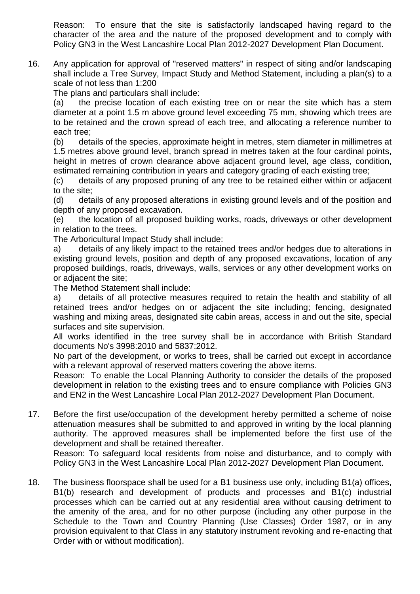Reason: To ensure that the site is satisfactorily landscaped having regard to the character of the area and the nature of the proposed development and to comply with Policy GN3 in the West Lancashire Local Plan 2012-2027 Development Plan Document.

16. Any application for approval of "reserved matters" in respect of siting and/or landscaping shall include a Tree Survey, Impact Study and Method Statement, including a plan(s) to a scale of not less than 1:200

The plans and particulars shall include:

(a) the precise location of each existing tree on or near the site which has a stem diameter at a point 1.5 m above ground level exceeding 75 mm, showing which trees are to be retained and the crown spread of each tree, and allocating a reference number to each tree;

(b) details of the species, approximate height in metres, stem diameter in millimetres at 1.5 metres above ground level, branch spread in metres taken at the four cardinal points, height in metres of crown clearance above adjacent ground level, age class, condition, estimated remaining contribution in years and category grading of each existing tree;

(c) details of any proposed pruning of any tree to be retained either within or adjacent to the site;

(d) details of any proposed alterations in existing ground levels and of the position and depth of any proposed excavation.

(e) the location of all proposed building works, roads, driveways or other development in relation to the trees.

The Arboricultural Impact Study shall include:

a) details of any likely impact to the retained trees and/or hedges due to alterations in existing ground levels, position and depth of any proposed excavations, location of any proposed buildings, roads, driveways, walls, services or any other development works on or adjacent the site;

The Method Statement shall include:

a) details of all protective measures required to retain the health and stability of all retained trees and/or hedges on or adjacent the site including; fencing, designated washing and mixing areas, designated site cabin areas, access in and out the site, special surfaces and site supervision.

All works identified in the tree survey shall be in accordance with British Standard documents No's 3998:2010 and 5837:2012.

No part of the development, or works to trees, shall be carried out except in accordance with a relevant approval of reserved matters covering the above items.

Reason: To enable the Local Planning Authority to consider the details of the proposed development in relation to the existing trees and to ensure compliance with Policies GN3 and EN2 in the West Lancashire Local Plan 2012-2027 Development Plan Document.

17. Before the first use/occupation of the development hereby permitted a scheme of noise attenuation measures shall be submitted to and approved in writing by the local planning authority. The approved measures shall be implemented before the first use of the development and shall be retained thereafter.

Reason: To safeguard local residents from noise and disturbance, and to comply with Policy GN3 in the West Lancashire Local Plan 2012-2027 Development Plan Document.

18. The business floorspace shall be used for a B1 business use only, including B1(a) offices, B1(b) research and development of products and processes and B1(c) industrial processes which can be carried out at any residential area without causing detriment to the amenity of the area, and for no other purpose (including any other purpose in the Schedule to the Town and Country Planning (Use Classes) Order 1987, or in any provision equivalent to that Class in any statutory instrument revoking and re-enacting that Order with or without modification).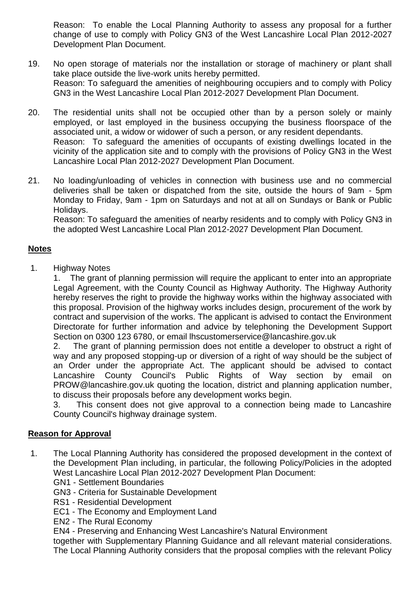Reason: To enable the Local Planning Authority to assess any proposal for a further change of use to comply with Policy GN3 of the West Lancashire Local Plan 2012-2027 Development Plan Document.

- 19. No open storage of materials nor the installation or storage of machinery or plant shall take place outside the live-work units hereby permitted. Reason: To safeguard the amenities of neighbouring occupiers and to comply with Policy GN3 in the West Lancashire Local Plan 2012-2027 Development Plan Document.
- 20. The residential units shall not be occupied other than by a person solely or mainly employed, or last employed in the business occupying the business floorspace of the associated unit, a widow or widower of such a person, or any resident dependants. Reason: To safeguard the amenities of occupants of existing dwellings located in the vicinity of the application site and to comply with the provisions of Policy GN3 in the West Lancashire Local Plan 2012-2027 Development Plan Document.
- 21. No loading/unloading of vehicles in connection with business use and no commercial deliveries shall be taken or dispatched from the site, outside the hours of 9am - 5pm Monday to Friday, 9am - 1pm on Saturdays and not at all on Sundays or Bank or Public Holidays.

Reason: To safeguard the amenities of nearby residents and to comply with Policy GN3 in the adopted West Lancashire Local Plan 2012-2027 Development Plan Document.

### **Notes**

1. Highway Notes

1. The grant of planning permission will require the applicant to enter into an appropriate Legal Agreement, with the County Council as Highway Authority. The Highway Authority hereby reserves the right to provide the highway works within the highway associated with this proposal. Provision of the highway works includes design, procurement of the work by contract and supervision of the works. The applicant is advised to contact the Environment Directorate for further information and advice by telephoning the Development Support Section on 0300 123 6780, or email lhscustomerservice@lancashire.gov.uk

2. The grant of planning permission does not entitle a developer to obstruct a right of way and any proposed stopping-up or diversion of a right of way should be the subject of an Order under the appropriate Act. The applicant should be advised to contact Lancashire County Council's Public Rights of Way section by email on PROW@lancashire.gov.uk quoting the location, district and planning application number, to discuss their proposals before any development works begin.

3. This consent does not give approval to a connection being made to Lancashire County Council's highway drainage system.

## **Reason for Approval**

- 1. The Local Planning Authority has considered the proposed development in the context of the Development Plan including, in particular, the following Policy/Policies in the adopted West Lancashire Local Plan 2012-2027 Development Plan Document:
	- GN1 Settlement Boundaries
	- GN3 Criteria for Sustainable Development
	- RS1 Residential Development
	- EC1 The Economy and Employment Land
	- EN2 The Rural Economy

EN4 - Preserving and Enhancing West Lancashire's Natural Environment

together with Supplementary Planning Guidance and all relevant material considerations. The Local Planning Authority considers that the proposal complies with the relevant Policy